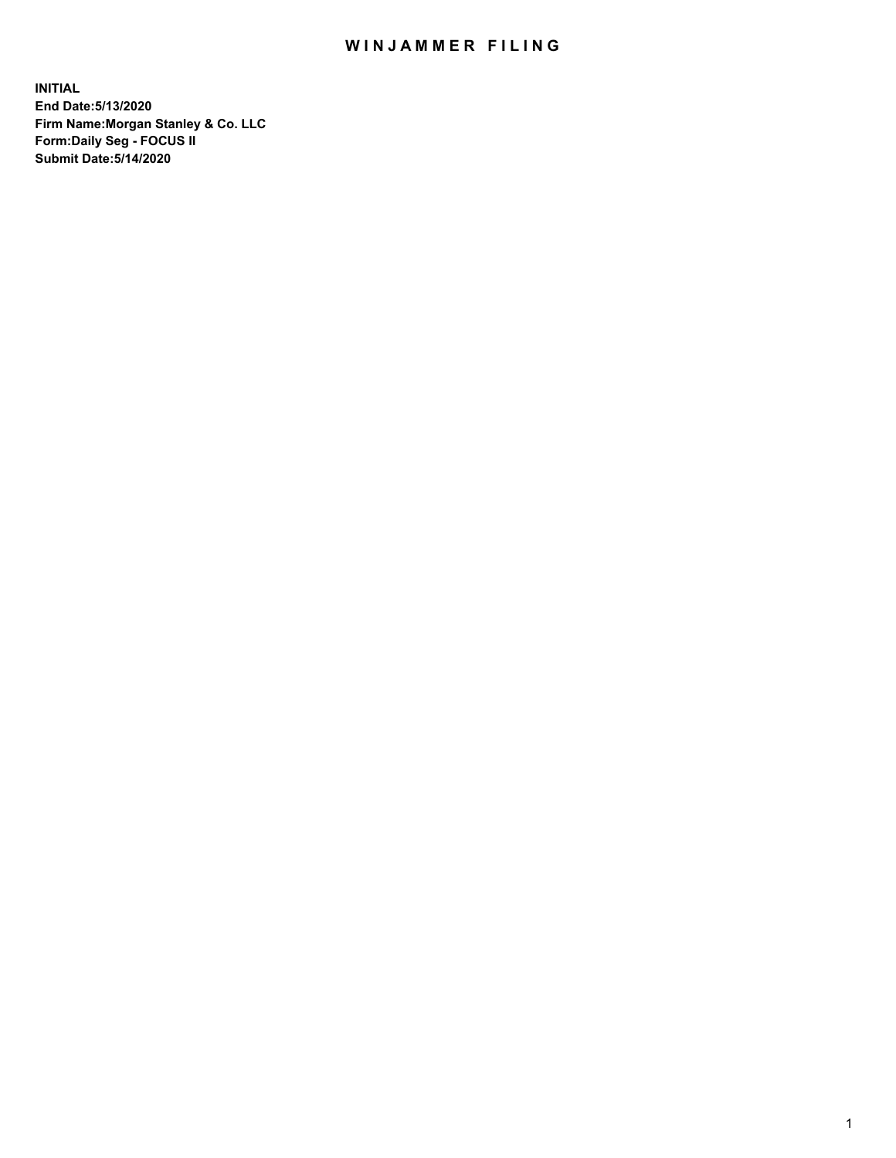## WIN JAMMER FILING

**INITIAL End Date:5/13/2020 Firm Name:Morgan Stanley & Co. LLC Form:Daily Seg - FOCUS II Submit Date:5/14/2020**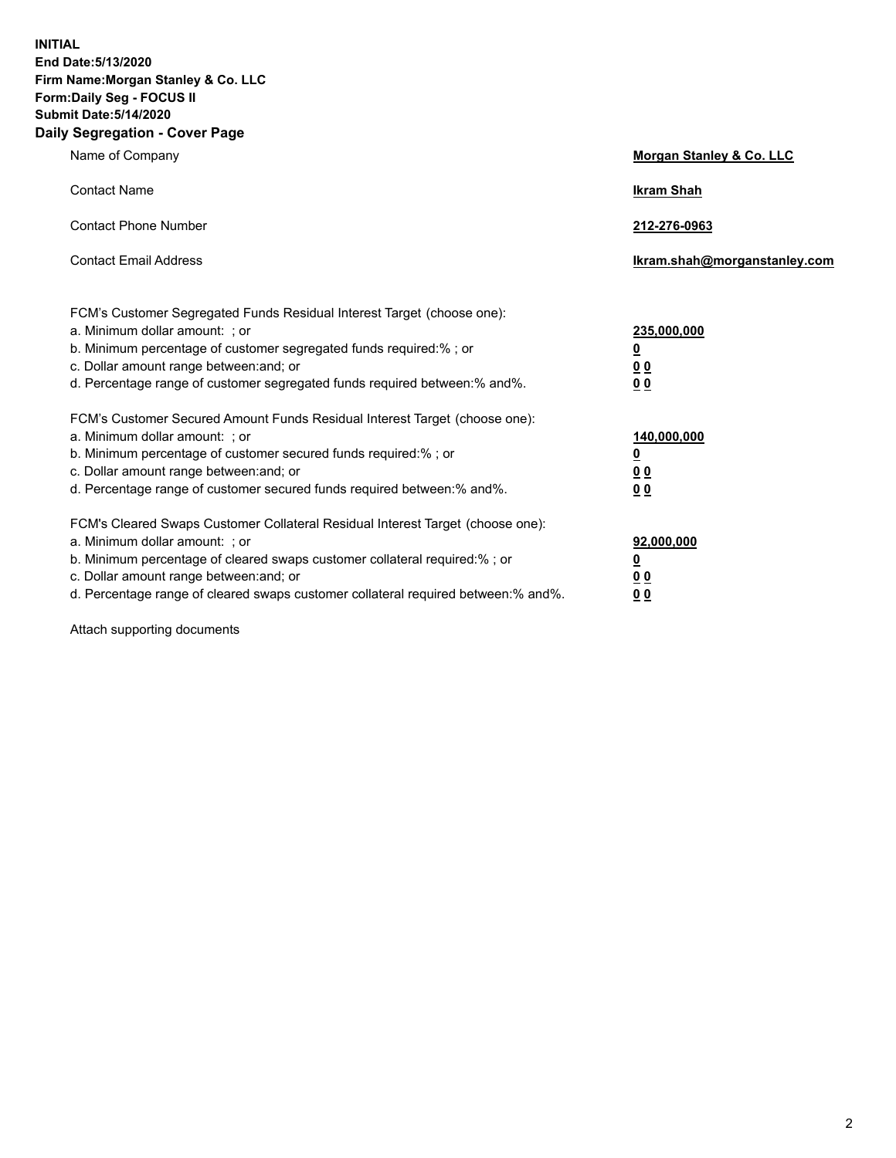**INITIAL End Date:5/13/2020 Firm Name:Morgan Stanley & Co. LLC Form:Daily Seg - FOCUS II Submit Date:5/14/2020 Daily Segregation - Cover Page**

| Name of Company                                                                                                                                                                                                                                                                                                                | <b>Morgan Stanley &amp; Co. LLC</b>                    |
|--------------------------------------------------------------------------------------------------------------------------------------------------------------------------------------------------------------------------------------------------------------------------------------------------------------------------------|--------------------------------------------------------|
| <b>Contact Name</b>                                                                                                                                                                                                                                                                                                            | <b>Ikram Shah</b>                                      |
| <b>Contact Phone Number</b>                                                                                                                                                                                                                                                                                                    | 212-276-0963                                           |
| <b>Contact Email Address</b>                                                                                                                                                                                                                                                                                                   | Ikram.shah@morganstanley.com                           |
| FCM's Customer Segregated Funds Residual Interest Target (choose one):<br>a. Minimum dollar amount: : or<br>b. Minimum percentage of customer segregated funds required:%; or<br>c. Dollar amount range between: and; or<br>d. Percentage range of customer segregated funds required between:% and%.                          | 235,000,000<br><u>0</u><br><u>00</u><br><u>00</u>      |
| FCM's Customer Secured Amount Funds Residual Interest Target (choose one):<br>a. Minimum dollar amount: ; or<br>b. Minimum percentage of customer secured funds required:%; or<br>c. Dollar amount range between: and; or<br>d. Percentage range of customer secured funds required between:% and%.                            | 140,000,000<br><u>0</u><br><u>00</u><br>0 <sub>0</sub> |
| FCM's Cleared Swaps Customer Collateral Residual Interest Target (choose one):<br>a. Minimum dollar amount: ; or<br>b. Minimum percentage of cleared swaps customer collateral required:% ; or<br>c. Dollar amount range between: and; or<br>d. Percentage range of cleared swaps customer collateral required between:% and%. | 92,000,000<br><u>0</u><br><u>00</u><br>00              |

Attach supporting documents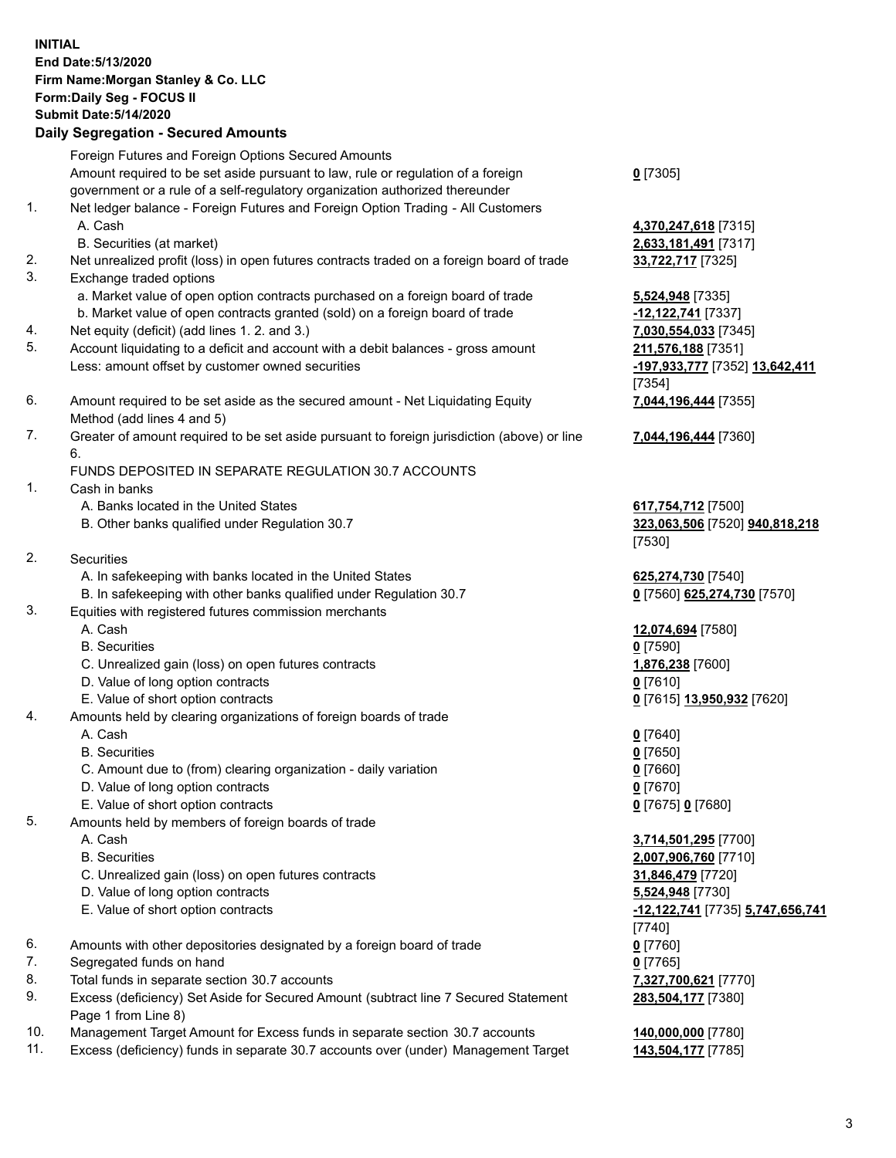## **INITIAL End Date:5/13/2020 Firm Name:Morgan Stanley & Co. LLC Form:Daily Seg - FOCUS II Submit Date:5/14/2020 Daily Segregation - Secured Amounts** Foreign Futures and Foreign Options Secured Amounts

Amount required to be set aside pursuant to law, rule or regulation of a foreign government or a rule of a self-regulatory organization authorized thereunder 1. Net ledger balance - Foreign Futures and Foreign Option Trading - All Customers A. Cash **4,370,247,618** [7315] B. Securities (at market) **2,633,181,491** [7317] 2. Net unrealized profit (loss) in open futures contracts traded on a foreign board of trade **33,722,717** [7325] 3. Exchange traded options a. Market value of open option contracts purchased on a foreign board of trade **5,524,948** [7335] b. Market value of open contracts granted (sold) on a foreign board of trade **-12,122,741** [7337] 4. Net equity (deficit) (add lines 1. 2. and 3.) **7,030,554,033** [7345] 5. Account liquidating to a deficit and account with a debit balances - gross amount **211,576,188** [7351] Less: amount offset by customer owned securities **-197,933,777** [7352] **13,642,411** 6. Amount required to be set aside as the secured amount - Net Liquidating Equity Method (add lines 4 and 5) 7. Greater of amount required to be set aside pursuant to foreign jurisdiction (above) or line 6. FUNDS DEPOSITED IN SEPARATE REGULATION 30.7 ACCOUNTS 1. Cash in banks A. Banks located in the United States **617,754,712** [7500] B. Other banks qualified under Regulation 30.7 **323,063,506** [7520] **940,818,218** 2. Securities A. In safekeeping with banks located in the United States **625,274,730** [7540] B. In safekeeping with other banks qualified under Regulation 30.7 **0** [7560] **625,274,730** [7570] 3. Equities with registered futures commission merchants A. Cash **12,074,694** [7580] B. Securities **0** [7590] C. Unrealized gain (loss) on open futures contracts **1,876,238** [7600] D. Value of long option contracts **0** [7610] E. Value of short option contracts **0** [7615] **13,950,932** [7620] 4. Amounts held by clearing organizations of foreign boards of trade A. Cash **0** [7640] B. Securities **0** [7650] C. Amount due to (from) clearing organization - daily variation **0** [7660] D. Value of long option contracts **0** [7670] E. Value of short option contracts **0** [7675] **0** [7680] 5. Amounts held by members of foreign boards of trade A. Cash **3,714,501,295** [7700] B. Securities **2,007,906,760** [7710] C. Unrealized gain (loss) on open futures contracts **31,846,479** [7720] D. Value of long option contracts **5,524,948** [7730] E. Value of short option contracts **-12,122,741** [7735] **5,747,656,741** 6. Amounts with other depositories designated by a foreign board of trade **0** [7760] 7. Segregated funds on hand **0** [7765]

- 8. Total funds in separate section 30.7 accounts **7,327,700,621** [7770]
- 9. Excess (deficiency) Set Aside for Secured Amount (subtract line 7 Secured Statement Page 1 from Line 8)
- 10. Management Target Amount for Excess funds in separate section 30.7 accounts **140,000,000** [7780]
- 11. Excess (deficiency) funds in separate 30.7 accounts over (under) Management Target **143,504,177** [7785]

**0** [7305]

[7354] **7,044,196,444** [7355]

**7,044,196,444** [7360]

[7530]

[7740] **283,504,177** [7380]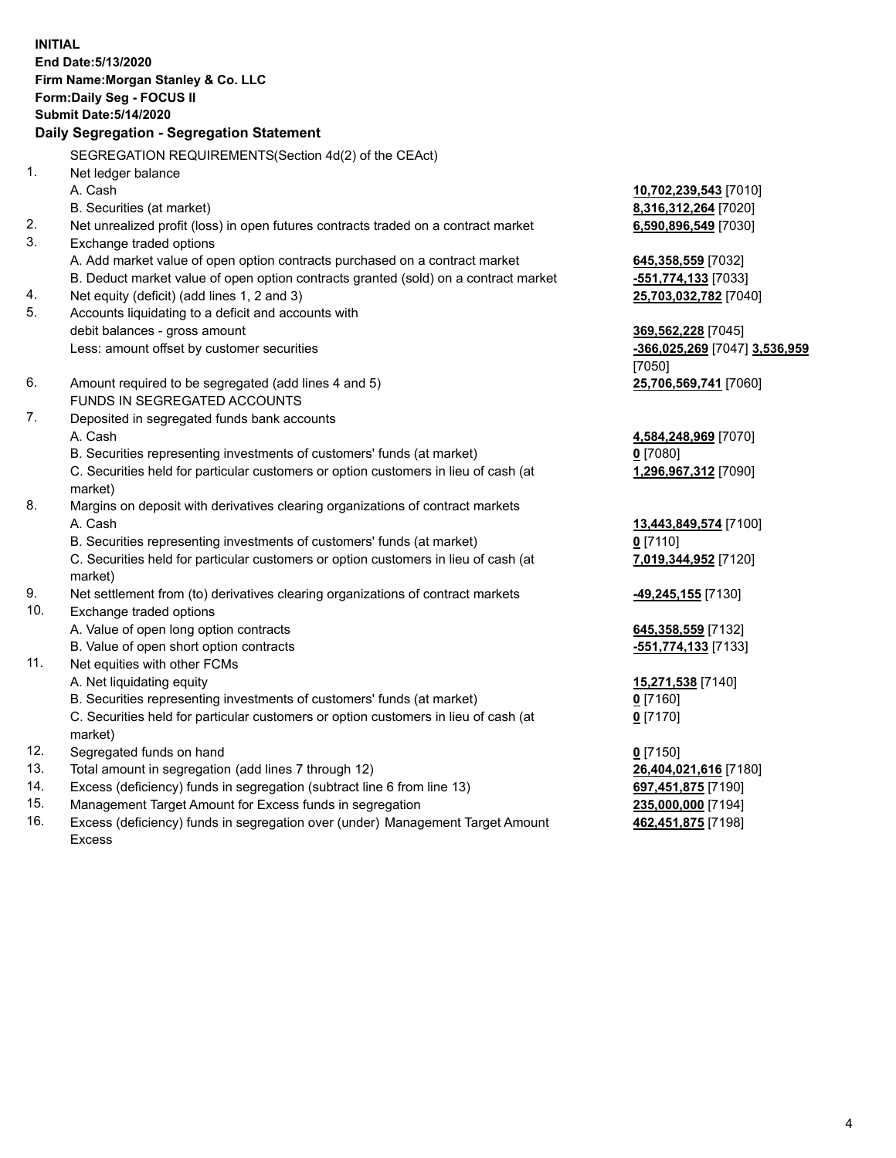**INITIAL End Date:5/13/2020 Firm Name:Morgan Stanley & Co. LLC Form:Daily Seg - FOCUS II Submit Date:5/14/2020 Daily Segregation - Segregation Statement** SEGREGATION REQUIREMENTS(Section 4d(2) of the CEAct) 1. Net ledger balance A. Cash **10,702,239,543** [7010] B. Securities (at market) **8,316,312,264** [7020] 2. Net unrealized profit (loss) in open futures contracts traded on a contract market **6,590,896,549** [7030] 3. Exchange traded options A. Add market value of open option contracts purchased on a contract market **645,358,559** [7032] B. Deduct market value of open option contracts granted (sold) on a contract market **-551,774,133** [7033] 4. Net equity (deficit) (add lines 1, 2 and 3) **25,703,032,782** [7040] 5. Accounts liquidating to a deficit and accounts with debit balances - gross amount **369,562,228** [7045] Less: amount offset by customer securities **-366,025,269** [7047] **3,536,959** [7050] 6. Amount required to be segregated (add lines 4 and 5) **25,706,569,741** [7060] FUNDS IN SEGREGATED ACCOUNTS 7. Deposited in segregated funds bank accounts A. Cash **4,584,248,969** [7070] B. Securities representing investments of customers' funds (at market) **0** [7080] C. Securities held for particular customers or option customers in lieu of cash (at market) **1,296,967,312** [7090] 8. Margins on deposit with derivatives clearing organizations of contract markets A. Cash **13,443,849,574** [7100] B. Securities representing investments of customers' funds (at market) **0** [7110] C. Securities held for particular customers or option customers in lieu of cash (at market) **7,019,344,952** [7120] 9. Net settlement from (to) derivatives clearing organizations of contract markets **-49,245,155** [7130] 10. Exchange traded options A. Value of open long option contracts **645,358,559** [7132] B. Value of open short option contracts **-551,774,133** [7133] 11. Net equities with other FCMs A. Net liquidating equity **15,271,538** [7140] B. Securities representing investments of customers' funds (at market) **0** [7160] C. Securities held for particular customers or option customers in lieu of cash (at market) **0** [7170] 12. Segregated funds on hand **0** [7150] 13. Total amount in segregation (add lines 7 through 12) **26,404,021,616** [7180] 14. Excess (deficiency) funds in segregation (subtract line 6 from line 13) **697,451,875** [7190] 15. Management Target Amount for Excess funds in segregation **235,000,000** [7194]

16. Excess (deficiency) funds in segregation over (under) Management Target Amount Excess

**462,451,875** [7198]